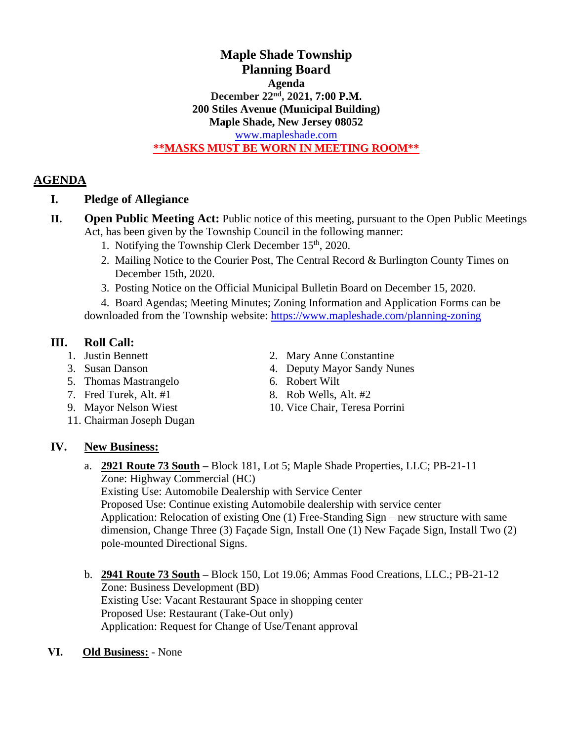#### **Maple Shade Township Planning Board Agenda December 22 nd , 2021, 7:00 P.M. 200 Stiles Avenue (Municipal Building) Maple Shade, New Jersey 08052** [www.mapleshade.com](http://www.mapleshade.com/) **\*\*MASKS MUST BE WORN IN MEETING ROOM\*\***

### **AGENDA**

### **I. Pledge of Allegiance**

- **II. Open Public Meeting Act:** Public notice of this meeting, pursuant to the Open Public Meetings Act, has been given by the Township Council in the following manner:
	- 1. Notifying the Township Clerk December  $15<sup>th</sup>$ , 2020.
	- 2. Mailing Notice to the Courier Post, The Central Record & Burlington County Times on December 15th, 2020.
	- 3. Posting Notice on the Official Municipal Bulletin Board on December 15, 2020.

4. Board Agendas; Meeting Minutes; Zoning Information and Application Forms can be downloaded from the Township website: <https://www.mapleshade.com/planning-zoning>

## **III. Roll Call:**

- 
- 
- 5. Thomas Mastrangelo 6. Robert Wilt
- 7. Fred Turek, Alt.  $#1$  8. Rob Wells, Alt.  $#2$
- 
- 11. Chairman Joseph Dugan
- 1. Justin Bennett 2. Mary Anne Constantine
- 3. Susan Danson 4. Deputy Mayor Sandy Nunes
	-
	-
- 9. Mayor Nelson Wiest 10. Vice Chair, Teresa Porrini

# **IV. New Business:**

a. **2921 Route 73 South –** Block 181, Lot 5; Maple Shade Properties, LLC; PB-21-11 Zone: Highway Commercial (HC)

Existing Use: Automobile Dealership with Service Center Proposed Use: Continue existing Automobile dealership with service center Application: Relocation of existing One (1) Free-Standing Sign – new structure with same dimension, Change Three (3) Façade Sign, Install One (1) New Façade Sign, Install Two (2) pole-mounted Directional Signs.

- b. **2941 Route 73 South –** Block 150, Lot 19.06; Ammas Food Creations, LLC.; PB-21-12 Zone: Business Development (BD) Existing Use: Vacant Restaurant Space in shopping center Proposed Use: Restaurant (Take-Out only) Application: Request for Change of Use/Tenant approval
- **ⅤI. Old Business:** None